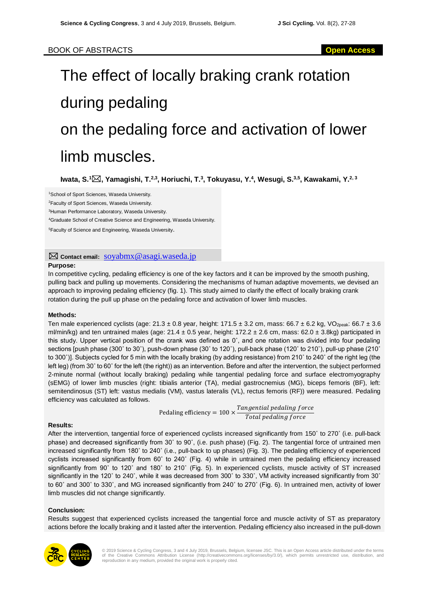# The effect of locally braking crank rotation during pedaling on the pedaling force and activation of lower limb muscles.

**Iwata, S.<sup>1</sup>, Yamagishi, T.2,3, Horiuchi, T.<sup>3</sup> , Tokuyasu, Y.<sup>4</sup> , Wesugi, S.3,5 , Kawakami, Y.2, 3**

<sup>1</sup>School of Sport Sciences, Waseda University.

<sup>2</sup>Faculty of Sport Sciences, Waseda University.

<sup>3</sup>Human Performance Laboratory, Waseda University.

<sup>4</sup>Graduate School of Creative Science and Engineering, Waseda University.

<sup>5</sup>Faculty of Science and Engineering, Waseda University.

## **Contact email:** [soyabmx@asagi.waseda.jp](mailto:soyabmx@asagi.waseda.jp)

### **Purpose:**

In competitive cycling, pedaling efficiency is one of the key factors and it can be improved by the smooth pushing, pulling back and pulling up movements. Considering the mechanisms of human adaptive movements, we devised an approach to improving pedaling efficiency (fig. 1). This study aimed to clarify the effect of locally braking crank rotation during the pull up phase on the pedaling force and activation of lower limb muscles.

### **Methods:**

Ten male experienced cyclists (age:  $21.3 \pm 0.8$  year, height:  $171.5 \pm 3.2$  cm, mass:  $66.7 \pm 6.2$  kg, VO<sub>2peak</sub>:  $66.7 \pm 3.6$ ml/min/kg) and ten untrained males (age:  $21.4 \pm 0.5$  year, height:  $172.2 \pm 2.6$  cm, mass:  $62.0 \pm 3.8$ kg) participated in this study. Upper vertical position of the crank was defined as 0˚, and one rotation was divided into four pedaling sections [push phase (300˚ to 30˚), push-down phase (30˚ to 120˚), pull-back phase (120˚ to 210˚), pull-up phase (210˚ to 300˚)]. Subjects cycled for 5 min with the locally braking (by adding resistance) from 210˚ to 240˚ of the right leg (the left leg) (from 30˚ to 60˚ for the left (the right)) as an intervention. Before and after the intervention, the subject performed 2-minute normal (without locally braking) pedaling while tangential pedaling force and surface electromyography (sEMG) of lower limb muscles (right: tibialis anterior (TA), medial gastrocnemius (MG), biceps femoris (BF), left: semitendinosus (ST) left: vastus medialis (VM), vastus lateralis (VL), rectus femoris (RF)) were measured. Pedaling efficiency was calculated as follows.

> Pedaling efficiency =  $100 \times \frac{Tangential$  pedaling force Total pedaling force

### **Results:**

After the intervention, tangential force of experienced cyclists increased significantly from 150˚ to 270˚ (i.e. pull-back phase) and decreased significantly from 30˚ to 90˚, (i.e. push phase) (Fig. 2). The tangential force of untrained men increased significantly from 180˚ to 240˚ (i.e., pull-back to up phases) (Fig. 3). The pedaling efficiency of experienced cyclists increased significantly from 60˚ to 240˚ (Fig. 4) while in untrained men the pedaling efficiency increased significantly from 90˚ to 120˚ and 180˚ to 210˚ (Fig. 5). In experienced cyclists, muscle activity of ST increased significantly in the 120˚ to 240˚, while it was decreased from 300˚ to 330˚, VM activity increased significantly from 30˚ to 60˚ and 300˚ to 330˚, and MG increased significantly from 240˚ to 270˚ (Fig. 6). In untrained men, activity of lower limb muscles did not change significantly.

### **Conclusion:**

Results suggest that experienced cyclists increased the tangential force and muscle activity of ST as preparatory actions before the locally braking and it lasted after the intervention. Pedaling efficiency also increased in the pull-down



© 2019 Science & Cycling Congress, 3 and 4 July 2019, Brussels, Belgium, licensee JSC. This is an Open Access article distributed under the terms<br>of the Creative Commons Attribution License (http://creativecommons.org/lice reproduction in any medium, provided the original work is properly cited.